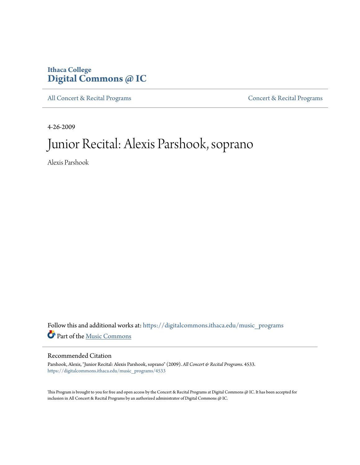## **Ithaca College [Digital Commons @ IC](https://digitalcommons.ithaca.edu?utm_source=digitalcommons.ithaca.edu%2Fmusic_programs%2F4533&utm_medium=PDF&utm_campaign=PDFCoverPages)**

[All Concert & Recital Programs](https://digitalcommons.ithaca.edu/music_programs?utm_source=digitalcommons.ithaca.edu%2Fmusic_programs%2F4533&utm_medium=PDF&utm_campaign=PDFCoverPages) **[Concert & Recital Programs](https://digitalcommons.ithaca.edu/som_programs?utm_source=digitalcommons.ithaca.edu%2Fmusic_programs%2F4533&utm_medium=PDF&utm_campaign=PDFCoverPages)** 

4-26-2009

# Junior Recital: Alexis Parshook, soprano

Alexis Parshook

Follow this and additional works at: [https://digitalcommons.ithaca.edu/music\\_programs](https://digitalcommons.ithaca.edu/music_programs?utm_source=digitalcommons.ithaca.edu%2Fmusic_programs%2F4533&utm_medium=PDF&utm_campaign=PDFCoverPages) Part of the [Music Commons](http://network.bepress.com/hgg/discipline/518?utm_source=digitalcommons.ithaca.edu%2Fmusic_programs%2F4533&utm_medium=PDF&utm_campaign=PDFCoverPages)

#### Recommended Citation

Parshook, Alexis, "Junior Recital: Alexis Parshook, soprano" (2009). *All Concert & Recital Programs*. 4533. [https://digitalcommons.ithaca.edu/music\\_programs/4533](https://digitalcommons.ithaca.edu/music_programs/4533?utm_source=digitalcommons.ithaca.edu%2Fmusic_programs%2F4533&utm_medium=PDF&utm_campaign=PDFCoverPages)

This Program is brought to you for free and open access by the Concert & Recital Programs at Digital Commons @ IC. It has been accepted for inclusion in All Concert & Recital Programs by an authorized administrator of Digital Commons @ IC.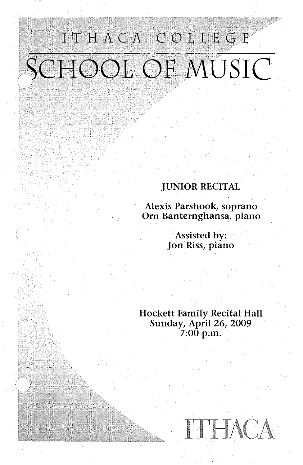# ITHACA COLLEGE SCHOOL OF MUSIC

### JUNIOR RECITAL

Alexis Parshook, soprano Orn. Banternghansa, piano

> Assisted by: Jon Riss, piano

Hockett Family Recital Hall Sunday, April 26, 2009  $7:00$  p.m.